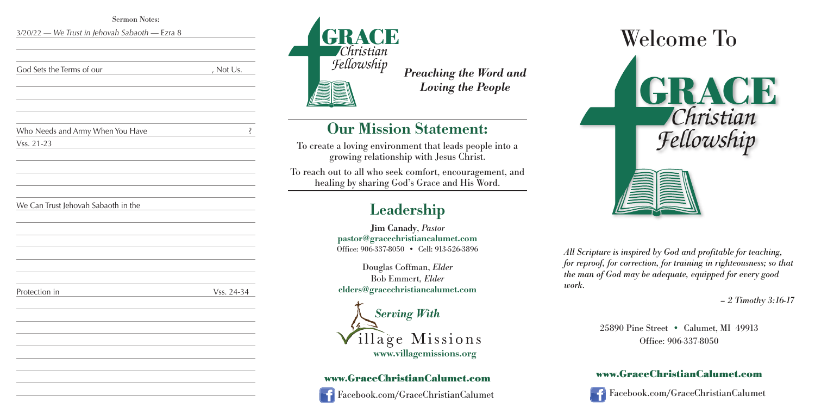



*All Scripture is inspired by God and profitable for teaching, for reproof, for correction, for training in righteousness; so that the man of God may be adequate, equipped for every good work.*



*– 2 Timothy 3:16-17*

25890 Pine Street • Calumet, MI 49913 Office: 906-337-8050

## **www.GraceChristianCalumet.com**

Facebook.com/GraceChristianCalumet

*Preaching the Word and Loving the People*

## **Our Mission Statement:**

| <b>Sermon Notes:</b>                                            |                    |  |
|-----------------------------------------------------------------|--------------------|--|
| 3/20/22 - We Trust in Jehovah Sabaoth - Ezra 8                  |                    |  |
|                                                                 |                    |  |
|                                                                 |                    |  |
|                                                                 |                    |  |
| God Sets the Terms of our<br>$\overline{\phantom{a}}$ , Not Us. |                    |  |
|                                                                 |                    |  |
|                                                                 |                    |  |
|                                                                 |                    |  |
|                                                                 |                    |  |
| Who Needs and Army When You Have                                | $\dot{\mathbf{S}}$ |  |
| Vss. 21-23                                                      |                    |  |
|                                                                 |                    |  |
|                                                                 |                    |  |
|                                                                 |                    |  |
|                                                                 |                    |  |
|                                                                 |                    |  |
| We Can Trust Jehovah Sabaoth in the                             |                    |  |
|                                                                 |                    |  |
|                                                                 |                    |  |
|                                                                 |                    |  |
|                                                                 |                    |  |
|                                                                 |                    |  |
|                                                                 |                    |  |
| Protection in                                                   | Vss. 24-34         |  |
|                                                                 |                    |  |
|                                                                 |                    |  |
|                                                                 |                    |  |
|                                                                 |                    |  |
|                                                                 |                    |  |
|                                                                 |                    |  |
|                                                                 |                    |  |
|                                                                 |                    |  |

To create a loving environment that leads people into a growing relationship with Jesus Christ.

To reach out to all who seek comfort, encouragement, and healing by sharing God's Grace and His Word.

# **Leadership**

**Jim Canady**, *Pastor* **pastor@gracechristiancalumet.com** Office: 906-337-8050 • Cell: 913-526-3896

Douglas Coffman, *Elder* Bob Emmert*, Elder* **elders@gracechristiancalumet.com**



## **www.GraceChristianCalumet.com**



Facebook.com/GraceChristianCalumet